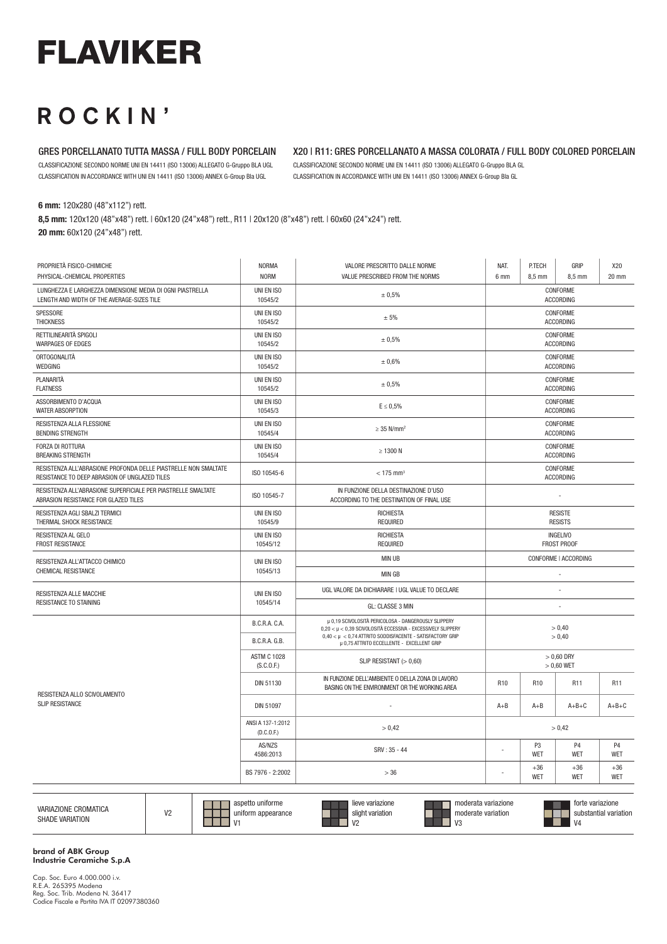# **FLAVIKER**

## ROCKIN'

#### GRES PORCELLANATO TUTTA MASSA / FULL BODY PORCELAIN

CLASSIFICAZIONE SECONDO NORME UNI EN 14411 (ISO 13006) ALLEGATO G-Gruppo BLA UGL CLASSIFICATION IN ACCORDANCE WITH UNI EN 14411 (ISO 13006) ANNEX G-Group Bla UGL

### X20 | R11: GRES PORCELLANATO A MASSA COLORATA / FULL BODY COLORED PORCELAIN

CLASSIFICAZIONE SECONDO NORME UNI EN 14411 (ISO 13006) ALLEGATO G-Gruppo BLA GL CLASSIFICATION IN ACCORDANCE WITH UNI EN 14411 (ISO 13006) ANNEX G-Group Bla GL

6 mm: 120x280 (48"x112") rett.

8,5 mm: 120x120 (48"x48") rett. | 60x120 (24"x48") rett., R11 | 20x120 (8"x48") rett. | 60x60 (24"x24") rett. 20 mm: 60x120 (24"x48") rett.

| PROPRIETÀ FISICO-CHIMICHE<br>PHYSICAL-CHEMICAL PROPERTIES                                                        | <b>NORMA</b><br><b>NORM</b>      | VALORE PRESCRITTO DALLE NORME<br>VALUE PRESCRIBED FROM THE NORMS                                                                                                                      | NAT.<br>6 mm                                         | P.TECH<br>8,5 mm    | GRIP<br>8,5 mm      | X20<br>20 mm        |
|------------------------------------------------------------------------------------------------------------------|----------------------------------|---------------------------------------------------------------------------------------------------------------------------------------------------------------------------------------|------------------------------------------------------|---------------------|---------------------|---------------------|
| LUNGHEZZA E LARGHEZZA DIMENSIONE MEDIA DI OGNI PIASTRELLA<br>LENGTH AND WIDTH OF THE AVERAGE-SIZES TILE          | UNI EN ISO<br>10545/2            | ± 0,5%                                                                                                                                                                                | CONFORME<br><b>ACCORDING</b>                         |                     |                     |                     |
| SPESSORE<br><b>THICKNESS</b>                                                                                     | UNI EN ISO<br>10545/2            | ± 5%                                                                                                                                                                                  | CONFORME<br><b>ACCORDING</b>                         |                     |                     |                     |
| RETTILINEARITÀ SPIGOLI<br><b>WARPAGES OF EDGES</b>                                                               | UNI EN ISO<br>10545/2            | ± 0,5%                                                                                                                                                                                | CONFORME<br><b>ACCORDING</b>                         |                     |                     |                     |
| ORTOGONALITÀ<br>WEDGING                                                                                          | UNI EN ISO<br>10545/2            | ± 0,6%                                                                                                                                                                                | CONFORME<br><b>ACCORDING</b>                         |                     |                     |                     |
| PLANARITÀ<br><b>FLATNESS</b>                                                                                     | UNI EN ISO<br>10545/2            | ± 0.5%                                                                                                                                                                                | CONFORME<br><b>ACCORDING</b>                         |                     |                     |                     |
| ASSORBIMENTO D'ACQUA<br><b>WATER ABSORPTION</b>                                                                  | UNI EN ISO<br>10545/3            | $E \leq 0.5\%$                                                                                                                                                                        | CONFORME<br><b>ACCORDING</b>                         |                     |                     |                     |
| RESISTENZA ALLA FLESSIONE<br><b>BENDING STRENGTH</b>                                                             | UNI EN ISO<br>10545/4            | $\geq$ 35 N/mm <sup>2</sup>                                                                                                                                                           | CONFORME<br><b>ACCORDING</b>                         |                     |                     |                     |
| FORZA DI ROTTURA<br><b>BREAKING STRENGTH</b>                                                                     | UNI EN ISO<br>10545/4            | $\geq$ 1300 N                                                                                                                                                                         | CONFORME<br><b>ACCORDING</b>                         |                     |                     |                     |
| RESISTENZA ALL'ABRASIONE PROFONDA DELLE PIASTRELLE NON SMALTATE<br>RESISTANCE TO DEEP ABRASION OF UNGLAZED TILES | ISO 10545-6                      | $< 175$ mm <sup>3</sup>                                                                                                                                                               | CONFORME<br><b>ACCORDING</b>                         |                     |                     |                     |
| RESISTENZA ALL'ABRASIONE SUPERFICIALE PER PIASTRELLE SMALTATE<br>ABRASION RESISTANCE FOR GLAZED TILES            | ISO 10545-7                      | IN FUNZIONE DELLA DESTINAZIONE D'USO<br>ACCORDING TO THE DESTINATION OF FINAL USE                                                                                                     |                                                      |                     |                     |                     |
| RESISTENZA AGLI SBALZI TERMICI<br>THERMAL SHOCK RESISTANCE                                                       | UNI EN ISO<br>10545/9            | <b>RICHIESTA</b><br><b>REQUIRED</b>                                                                                                                                                   | <b>RESISTE</b><br><b>RESISTS</b>                     |                     |                     |                     |
| RESISTENZA AL GELO<br>FROST RESISTANCE                                                                           | UNI EN ISO<br>10545/12           | <b>RICHIESTA</b><br><b>REQUIRED</b>                                                                                                                                                   | <b>INGELIVO</b><br><b>FROST PROOF</b>                |                     |                     |                     |
| RESISTENZA ALL'ATTACCO CHIMICO                                                                                   | UNI EN ISO<br>10545/13           | <b>MIN UB</b><br>CONFORME   ACCORDING                                                                                                                                                 |                                                      |                     |                     |                     |
| <b>CHEMICAL RESISTANCE</b>                                                                                       |                                  | <b>MIN GB</b>                                                                                                                                                                         |                                                      |                     |                     |                     |
| <b>RESISTENZA ALLE MACCHIE</b><br>RESISTANCE TO STAINING                                                         | UNI EN ISO<br>10545/14           | UGL VALORE DA DICHIARARE I UGL VALUE TO DECLARE                                                                                                                                       |                                                      |                     |                     |                     |
|                                                                                                                  |                                  | GL: CLASSE 3 MIN                                                                                                                                                                      |                                                      |                     |                     |                     |
|                                                                                                                  | B.C.R.A. C.A.                    | µ 0,19 SCIVOLOSITÀ PERICOLOSA - DANGEROUSLY SLIPPERY<br>0,20 < µ < 0,39 SCIVOLOSITÀ ECCESSIVA - EXCESSIVELY SLIPPERY<br>$0,40 < \mu < 0,74$ ATTRITO SODDISFACENTE - SATISFACTORY GRIP | > 0.40<br>> 0.40                                     |                     |                     |                     |
|                                                                                                                  | <b>B.C.R.A. G.B.</b>             | µ 0,75 ATTRITO ECCELLENTE - EXCELLENT GRIP                                                                                                                                            |                                                      |                     |                     |                     |
|                                                                                                                  | <b>ASTM C 1028</b><br>(S.C.0.F.) | SLIP RESISTANT $(>0,60)$                                                                                                                                                              | $>0,60$ DRY<br>$> 0.60$ WET                          |                     |                     |                     |
|                                                                                                                  | DIN 51130                        | IN FUNZIONE DELL'AMBIENTE O DELLA ZONA DI LAVORO<br>BASING ON THE ENVIRONMENT OR THE WORKING AREA                                                                                     | R <sub>10</sub><br>R <sub>10</sub><br>R11            |                     |                     | R11                 |
| RESISTENZA ALLO SCIVOLAMENTO<br><b>SLIP RESISTANCE</b>                                                           | DIN 51097                        |                                                                                                                                                                                       | $A + B$                                              | $A + B$             | $A+B+C$             | $A+B+C$             |
|                                                                                                                  | ANSI A 137-1:2012<br>(D.C.0.F.)  | > 0.42                                                                                                                                                                                | > 0.42                                               |                     |                     |                     |
|                                                                                                                  | AS/NZS<br>4586:2013              | SRV: 35 - 44                                                                                                                                                                          | P <sub>3</sub><br>P <sub>4</sub><br>l,<br>WET<br>WET |                     |                     | <b>P4</b><br>WET    |
|                                                                                                                  | BS 7976 - 2:2002                 | >36                                                                                                                                                                                   |                                                      | $+36$<br><b>WET</b> | $+36$<br><b>WET</b> | $+36$<br><b>WET</b> |
|                                                                                                                  |                                  |                                                                                                                                                                                       |                                                      |                     |                     |                     |

| VARIAZIONE CROMATICA<br><b>SHADE VARIATION</b> | $\overline{10}$ | aspetto u<br>uniforme<br>uniform appearance<br>$11-$ | lieve variazione<br>slight variation<br>$\frac{1}{2}$ | moderata variazione<br>moderate variation<br>$\mathbf{v}$ | forte variazione<br>ubstantial variation.<br>$V_4$ |
|------------------------------------------------|-----------------|------------------------------------------------------|-------------------------------------------------------|-----------------------------------------------------------|----------------------------------------------------|
|------------------------------------------------|-----------------|------------------------------------------------------|-------------------------------------------------------|-----------------------------------------------------------|----------------------------------------------------|

brand of ABK Group Industrie Ceramiche S.p.A

Cap. Soc. Euro 4.000.000 i.v. R.E.A. 265395 Modena Reg. Soc. Trib. Modena N. 36417 Codice Fiscale e Partita IVA IT 02097380360